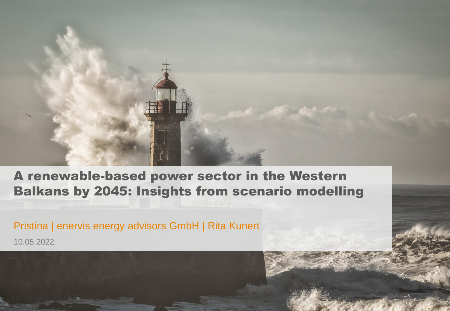

A renewable-based power sector in the Western Balkans by 2045: Insights from scenario modelling

Pristina | enervis energy advisors GmbH | Rita Kunert

10.05.2022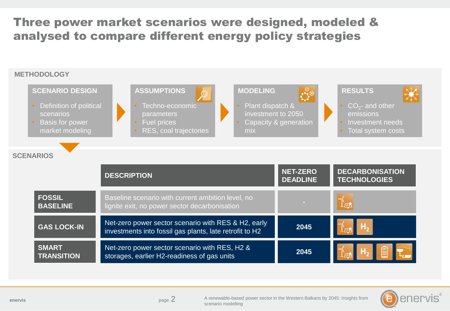## Three power market scenarios were designed, modeled & analysed to compare different energy policy strategies





**enervis** and the contract of the contract of the contract of the contract of the contract of the contract of the contract of the contract of the contract of the contract of the contract of the contract of the contract of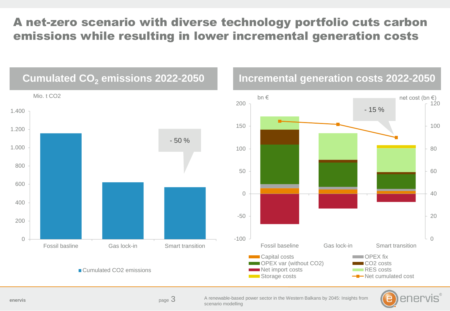## A net-zero scenario with diverse technology portfolio cuts carbon emissions while resulting in lower incremental generation costs





enervis

page 3

A renewable-based power sector in the Western Balkans by 2045: Insights from scenario modelling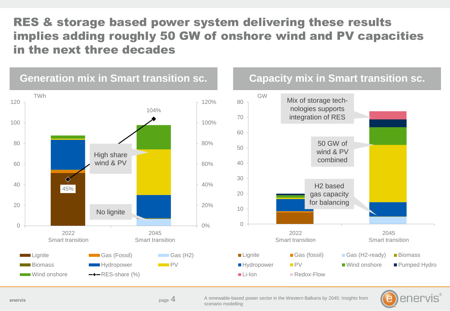## RES & storage based power system delivering these results implies adding roughly 50 GW of onshore wind and PV capacities in the next three decades







**enervis** and the contract of the contract of the contract of the contract of the contract of the contract of the contract of the contract of the contract of the contract of the contract of the contract of the contract of

enervis entervised page A renewable-based power sector in the Western Balkans by 2045: Insights from scenario modelling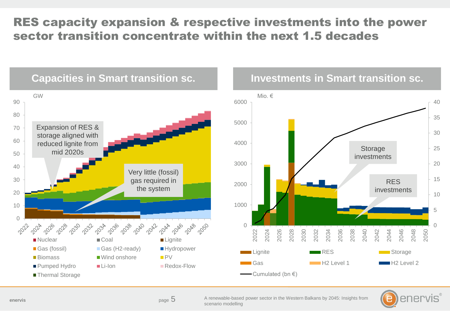# RES capacity expansion & respective investments into the power sector transition concentrate within the next 1.5 decades







<sub>page</sub> 5

A renewable-based power sector in the Western Balkans by 2045: Insights from scenario modelling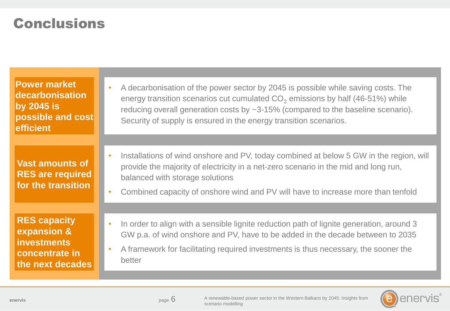# Conclusions

| <b>Power market</b><br>decarbonisation<br>by 2045 is<br>possible and cost<br>efficient         | A decarbonisation of the power sector by 2045 is possible while saving costs. The<br>$\bullet$<br>energy transition scenarios cut cumulated $CO2$ emissions by half (46-51%) while<br>reducing overall generation costs by ~3-15% (compared to the baseline scenario).<br>Security of supply is ensured in the energy transition scenarios. |
|------------------------------------------------------------------------------------------------|---------------------------------------------------------------------------------------------------------------------------------------------------------------------------------------------------------------------------------------------------------------------------------------------------------------------------------------------|
|                                                                                                |                                                                                                                                                                                                                                                                                                                                             |
| <b>Vast amounts of</b><br><b>RES</b> are required<br>for the transition                        | Installations of wind onshore and PV, today combined at below 5 GW in the region, will<br>$\bullet$<br>provide the majority of electricity in a net-zero scenario in the mid and long run,<br>balanced with storage solutions<br>Combined capacity of onshore wind and PV will have to increase more than tenfold<br>$\bullet$              |
|                                                                                                |                                                                                                                                                                                                                                                                                                                                             |
| <b>RES capacity</b><br>expansion &<br><i>investments</i><br>concentrate in<br>the next decades | In order to align with a sensible lignite reduction path of lignite generation, around 3<br>$\bullet$<br>GW p.a. of wind onshore and PV, have to be added in the decade between to 2035<br>A framework for facilitating required investments is thus necessary, the sooner the<br>$\bullet$<br>better                                       |



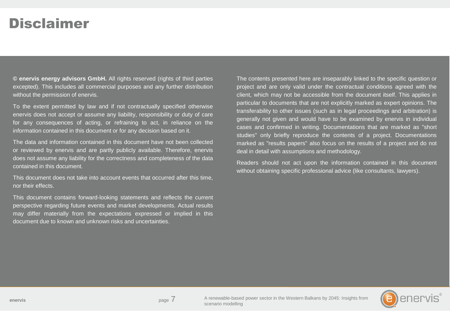# Disclaimer

**© enervis energy advisors GmbH.** All rights reserved (rights of third parties excepted). This includes all commercial purposes and any further distribution without the permission of enervis.

To the extent permitted by law and if not contractually specified otherwise enervis does not accept or assume any liability, responsibility or duty of care for any consequences of acting, or refraining to act, in reliance on the information contained in this document or for any decision based on it.

The data and information contained in this document have not been collected or reviewed by enervis and are partly publicly available. Therefore, enervis does not assume any liability for the correctness and completeness of the data contained in this document.

This document does not take into account events that occurred after this time, nor their effects.

This document contains forward-looking statements and reflects the current perspective regarding future events and market developments. Actual results may differ materially from the expectations expressed or implied in this document due to known and unknown risks and uncertainties.

The contents presented here are inseparably linked to the specific question or project and are only valid under the contractual conditions agreed with the client, which may not be accessible from the document itself. This applies in particular to documents that are not explicitly marked as expert opinions. The transferability to other issues (such as in legal proceedings and arbitration) is generally not given and would have to be examined by enervis in individual cases and confirmed in writing. Documentations that are marked as "short studies" only briefly reproduce the contents of a project. Documentations marked as "results papers" also focus on the results of a project and do not deal in detail with assumptions and methodology.

Readers should not act upon the information contained in this document without obtaining specific professional advice (like consultants, lawyers).